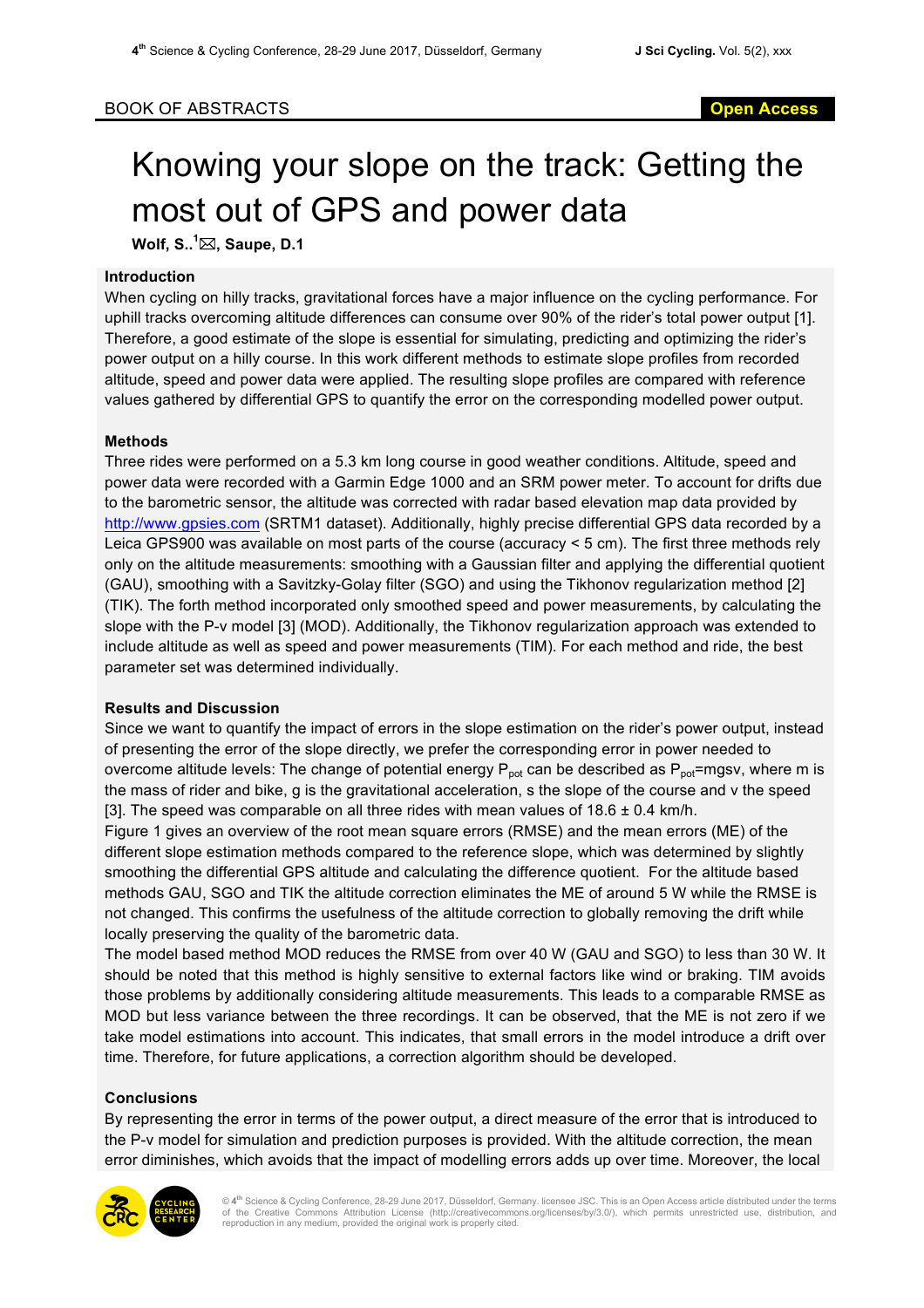# BOOK OF ABSTRACTS **Open Access**

# Knowing your slope on the track: Getting the most out of GPS and power data

**Wolf, S.. 1** \***, Saupe, D.1**

# **Introduction**

When cycling on hilly tracks, gravitational forces have a major influence on the cycling performance. For uphill tracks overcoming altitude differences can consume over 90% of the rider's total power output [1]. Therefore, a good estimate of the slope is essential for simulating, predicting and optimizing the rider's power output on a hilly course. In this work different methods to estimate slope profiles from recorded altitude, speed and power data were applied. The resulting slope profiles are compared with reference values gathered by differential GPS to quantify the error on the corresponding modelled power output.

# **Methods**

Three rides were performed on a 5.3 km long course in good weather conditions. Altitude, speed and power data were recorded with a Garmin Edge 1000 and an SRM power meter. To account for drifts due to the barometric sensor, the altitude was corrected with radar based elevation map data provided by http://www.gpsies.com (SRTM1 dataset). Additionally, highly precise differential GPS data recorded by a Leica GPS900 was available on most parts of the course (accuracy < 5 cm). The first three methods rely only on the altitude measurements: smoothing with a Gaussian filter and applying the differential quotient (GAU), smoothing with a Savitzky-Golay filter (SGO) and using the Tikhonov regularization method [2] (TIK). The forth method incorporated only smoothed speed and power measurements, by calculating the slope with the P-v model [3] (MOD). Additionally, the Tikhonov regularization approach was extended to include altitude as well as speed and power measurements (TIM). For each method and ride, the best parameter set was determined individually.

# **Results and Discussion**

Since we want to quantify the impact of errors in the slope estimation on the rider's power output, instead of presenting the error of the slope directly, we prefer the corresponding error in power needed to overcome altitude levels: The change of potential energy  $P_{pot}$  can be described as  $P_{pot}$ =mgsv, where m is the mass of rider and bike, g is the gravitational acceleration, s the slope of the course and v the speed [3]. The speed was comparable on all three rides with mean values of  $18.6 \pm 0.4$  km/h.

Figure 1 gives an overview of the root mean square errors (RMSE) and the mean errors (ME) of the different slope estimation methods compared to the reference slope, which was determined by slightly smoothing the differential GPS altitude and calculating the difference quotient. For the altitude based methods GAU, SGO and TIK the altitude correction eliminates the ME of around 5 W while the RMSE is not changed. This confirms the usefulness of the altitude correction to globally removing the drift while locally preserving the quality of the barometric data.

The model based method MOD reduces the RMSE from over 40 W (GAU and SGO) to less than 30 W. It should be noted that this method is highly sensitive to external factors like wind or braking. TIM avoids those problems by additionally considering altitude measurements. This leads to a comparable RMSE as MOD but less variance between the three recordings. It can be observed, that the ME is not zero if we take model estimations into account. This indicates, that small errors in the model introduce a drift over time. Therefore, for future applications, a correction algorithm should be developed.

# **Conclusions**

By representing the error in terms of the power output, a direct measure of the error that is introduced to the P-v model for simulation and prediction purposes is provided. With the altitude correction, the mean error diminishes, which avoids that the impact of modelling errors adds up over time. Moreover, the local



© **4th** Science & Cycling Conference, 28-29 June 2017, Düsseldorf, Germany. licensee JSC. This is an Open Access article distributed under the terms of the Creative Commons Attribution License (http://creativecommons.org/licenses/by/3.0/), which permits unrestricted use, distribution, and reproduction in any medium, provided the original work is properly cited.